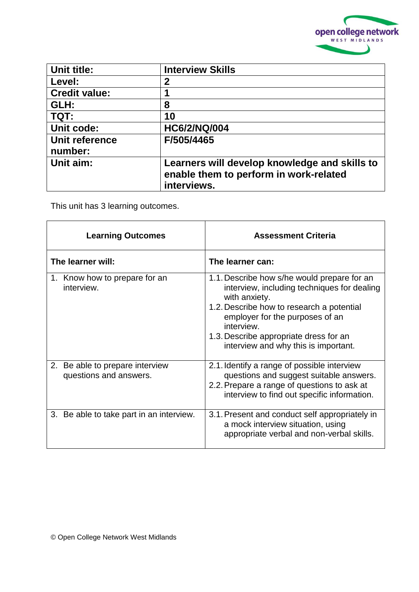

| Unit title:               | <b>Interview Skills</b>                                                                                |
|---------------------------|--------------------------------------------------------------------------------------------------------|
| Level:                    | $\mathbf 2$                                                                                            |
| <b>Credit value:</b>      | 1                                                                                                      |
| GLH:                      | 8                                                                                                      |
| TQT:                      | 10                                                                                                     |
| Unit code:                | <b>HC6/2/NQ/004</b>                                                                                    |
| Unit reference<br>number: | F/505/4465                                                                                             |
| Unit aim:                 | Learners will develop knowledge and skills to<br>enable them to perform in work-related<br>interviews. |

This unit has 3 learning outcomes.

| <b>Learning Outcomes</b>                                  | <b>Assessment Criteria</b>                                                                                                                                                                                                                                                                  |
|-----------------------------------------------------------|---------------------------------------------------------------------------------------------------------------------------------------------------------------------------------------------------------------------------------------------------------------------------------------------|
| The learner will:                                         | The learner can:                                                                                                                                                                                                                                                                            |
| 1. Know how to prepare for an<br>interview.               | 1.1. Describe how s/he would prepare for an<br>interview, including techniques for dealing<br>with anxiety.<br>1.2. Describe how to research a potential<br>employer for the purposes of an<br>interview.<br>1.3. Describe appropriate dress for an<br>interview and why this is important. |
| 2. Be able to prepare interview<br>questions and answers. | 2.1. Identify a range of possible interview<br>questions and suggest suitable answers.<br>2.2. Prepare a range of questions to ask at<br>interview to find out specific information.                                                                                                        |
| 3. Be able to take part in an interview.                  | 3.1. Present and conduct self appropriately in<br>a mock interview situation, using<br>appropriate verbal and non-verbal skills.                                                                                                                                                            |